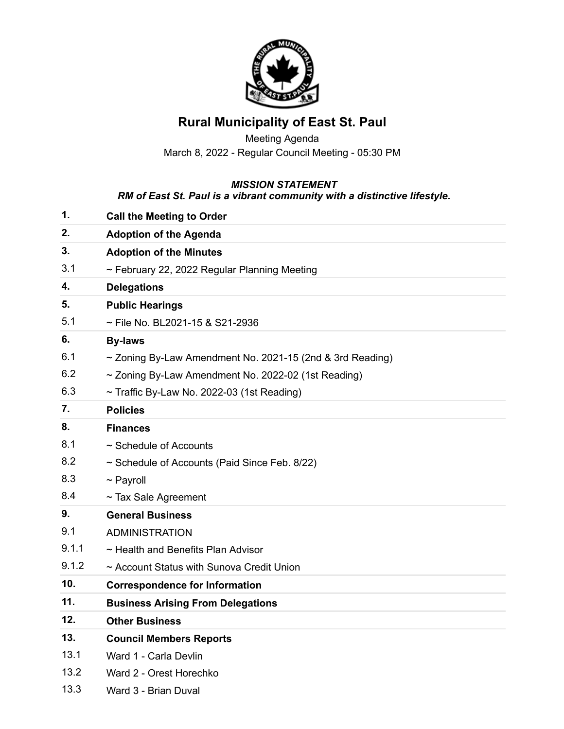

## **Rural Municipality of East St. Paul**

Meeting Agenda March 8, 2022 - Regular Council Meeting - 05:30 PM

## *MISSION STATEMENT*

## *RM of East St. Paul is a vibrant community with a distinctive lifestyle.*

| 1.    | <b>Call the Meeting to Order</b>                               |
|-------|----------------------------------------------------------------|
| 2.    | <b>Adoption of the Agenda</b>                                  |
| 3.    | <b>Adoption of the Minutes</b>                                 |
| 3.1   | $\sim$ February 22, 2022 Regular Planning Meeting              |
| 4.    | <b>Delegations</b>                                             |
| 5.    | <b>Public Hearings</b>                                         |
| 5.1   | ~ File No. BL2021-15 & S21-2936                                |
| 6.    | <b>By-laws</b>                                                 |
| 6.1   | $\sim$ Zoning By-Law Amendment No. 2021-15 (2nd & 3rd Reading) |
| 6.2   | ~ Zoning By-Law Amendment No. 2022-02 (1st Reading)            |
| 6.3   | $\sim$ Traffic By-Law No. 2022-03 (1st Reading)                |
| 7.    | <b>Policies</b>                                                |
| 8.    | <b>Finances</b>                                                |
| 8.1   | $\sim$ Schedule of Accounts                                    |
| 8.2   | ~ Schedule of Accounts (Paid Since Feb. 8/22)                  |
| 8.3   | $\sim$ Payroll                                                 |
| 8.4   | $\sim$ Tax Sale Agreement                                      |
| 9.    | <b>General Business</b>                                        |
| 9.1   | <b>ADMINISTRATION</b>                                          |
| 9.1.1 | ~ Health and Benefits Plan Advisor                             |
| 9.1.2 | ~ Account Status with Sunova Credit Union                      |
| 10.   | <b>Correspondence for Information</b>                          |
| 11.   | <b>Business Arising From Delegations</b>                       |
| 12.   | <b>Other Business</b>                                          |
| 13.   | <b>Council Members Reports</b>                                 |
| 13.1  | Ward 1 - Carla Devlin                                          |
| 13.2  | Ward 2 - Orest Horechko                                        |
| 13.3  | Ward 3 - Brian Duval                                           |